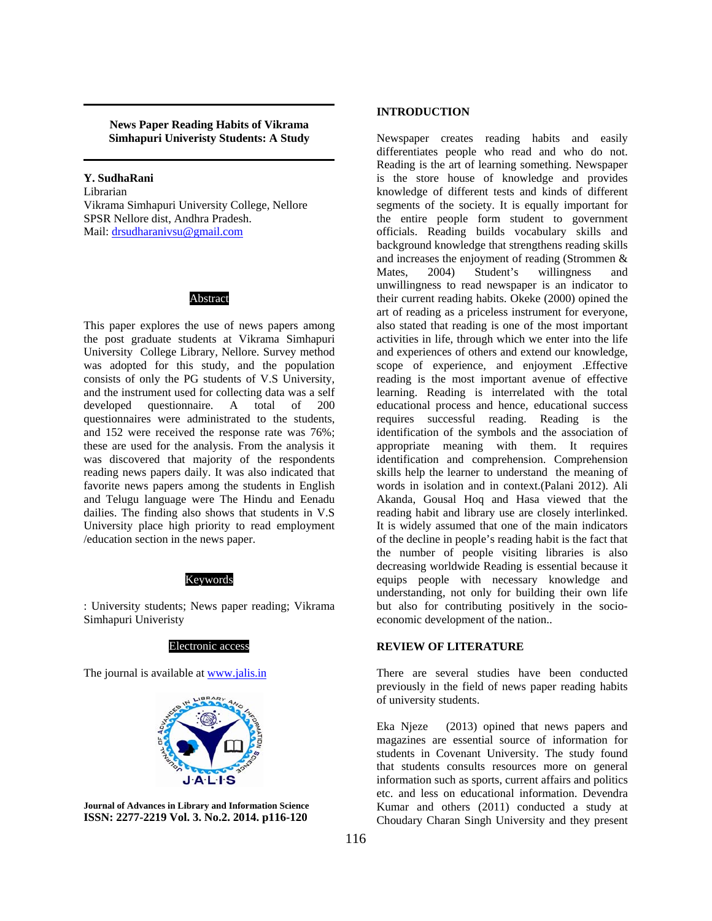**News Paper Reading Habits of Vikrama Simhapuri Univeristy Students: A Study** 

**Y. SudhaRani**  Librarian Vikrama Simhapuri University College, Nellore SPSR Nellore dist, Andhra Pradesh. Mail: drsudharanivsu@gmail.com

### Abstract

This paper explores the use of news papers among the post graduate students at Vikrama Simhapuri University College Library, Nellore. Survey method was adopted for this study, and the population consists of only the PG students of V.S University, and the instrument used for collecting data was a self developed questionnaire. A total of 200 questionnaires were administrated to the students, and 152 were received the response rate was 76%; these are used for the analysis. From the analysis it was discovered that majority of the respondents reading news papers daily. It was also indicated that favorite news papers among the students in English and Telugu language were The Hindu and Eenadu dailies. The finding also shows that students in V.S University place high priority to read employment /education section in the news paper.

#### Keywords

: University students; News paper reading; Vikrama Simhapuri Univeristy



The journal is available at www.jalis.in



**Journal of Advances in Library and Information Science ISSN: 2277-2219 Vol. 3. No.2. 2014. p116-120** 

#### **INTRODUCTION**

Newspaper creates reading habits and easily differentiates people who read and who do not. Reading is the art of learning something. Newspaper is the store house of knowledge and provides knowledge of different tests and kinds of different segments of the society. It is equally important for the entire people form student to government officials. Reading builds vocabulary skills and background knowledge that strengthens reading skills and increases the enjoyment of reading (Strommen & Mates, 2004) Student's willingness and unwillingness to read newspaper is an indicator to their current reading habits. Okeke (2000) opined the art of reading as a priceless instrument for everyone, also stated that reading is one of the most important activities in life, through which we enter into the life and experiences of others and extend our knowledge, scope of experience, and enjoyment .Effective reading is the most important avenue of effective learning. Reading is interrelated with the total educational process and hence, educational success requires successful reading. Reading is the identification of the symbols and the association of appropriate meaning with them. It requires identification and comprehension. Comprehension skills help the learner to understand the meaning of words in isolation and in context.(Palani 2012). Ali Akanda, Gousal Hoq and Hasa viewed that the reading habit and library use are closely interlinked. It is widely assumed that one of the main indicators of the decline in people's reading habit is the fact that the number of people visiting libraries is also decreasing worldwide Reading is essential because it equips people with necessary knowledge and understanding, not only for building their own life but also for contributing positively in the socioeconomic development of the nation..

#### **REVIEW OF LITERATURE**

There are several studies have been conducted previously in the field of news paper reading habits of university students.

Eka Njeze (2013) opined that news papers and magazines are essential source of information for students in Covenant University. The study found that students consults resources more on general information such as sports, current affairs and politics etc. and less on educational information. Devendra Kumar and others (2011) conducted a study at Choudary Charan Singh University and they present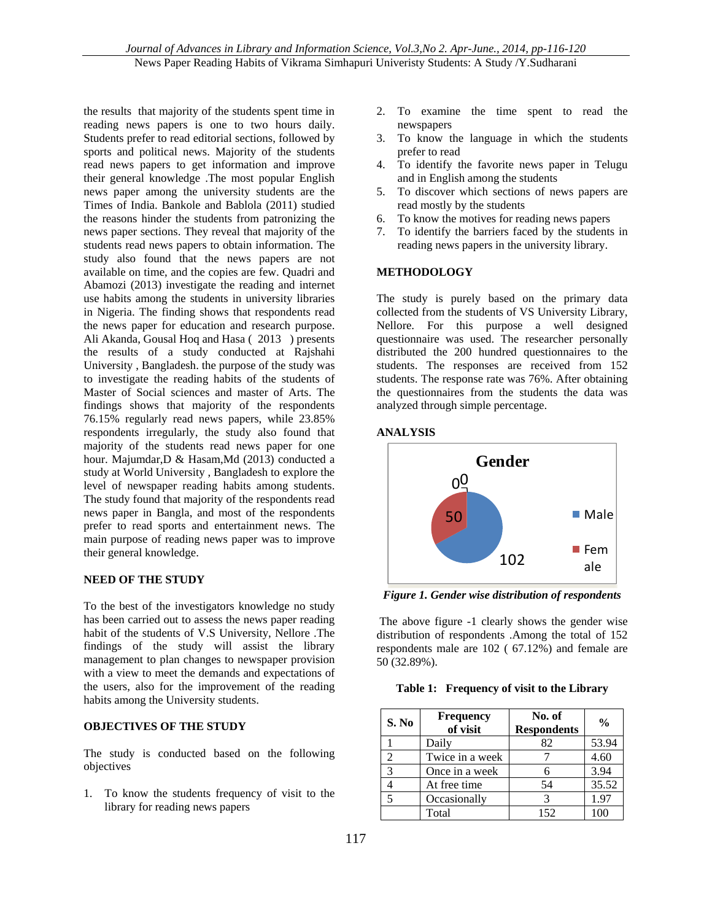the results that majority of the students spent time in reading news papers is one to two hours daily. Students prefer to read editorial sections, followed by sports and political news. Majority of the students read news papers to get information and improve their general knowledge .The most popular English news paper among the university students are the Times of India. Bankole and Bablola (2011) studied the reasons hinder the students from patronizing the news paper sections. They reveal that majority of the students read news papers to obtain information. The study also found that the news papers are not available on time, and the copies are few. Quadri and Abamozi (2013) investigate the reading and internet use habits among the students in university libraries in Nigeria. The finding shows that respondents read the news paper for education and research purpose. Ali Akanda, Gousal Hoq and Hasa ( 2013 ) presents the results of a study conducted at Rajshahi University , Bangladesh. the purpose of the study was to investigate the reading habits of the students of Master of Social sciences and master of Arts. The findings shows that majority of the respondents 76.15% regularly read news papers, while 23.85% respondents irregularly, the study also found that majority of the students read news paper for one hour. Majumdar,D & Hasam,Md (2013) conducted a study at World University , Bangladesh to explore the level of newspaper reading habits among students. The study found that majority of the respondents read news paper in Bangla, and most of the respondents prefer to read sports and entertainment news. The main purpose of reading news paper was to improve their general knowledge.

# **NEED OF THE STUDY**

To the best of the investigators knowledge no study has been carried out to assess the news paper reading habit of the students of V.S University, Nellore .The findings of the study will assist the library management to plan changes to newspaper provision with a view to meet the demands and expectations of the users, also for the improvement of the reading habits among the University students.

#### **OBJECTIVES OF THE STUDY**

The study is conducted based on the following objectives

1. To know the students frequency of visit to the library for reading news papers

- 2. To examine the time spent to read the newspapers
- 3. To know the language in which the students prefer to read
- 4. To identify the favorite news paper in Telugu and in English among the students
- 5. To discover which sections of news papers are read mostly by the students
- 6. To know the motives for reading news papers
- 7. To identify the barriers faced by the students in reading news papers in the university library.

# **METHODOLOGY**

The study is purely based on the primary data collected from the students of VS University Library, Nellore. For this purpose a well designed questionnaire was used. The researcher personally distributed the 200 hundred questionnaires to the students. The responses are received from 152 students. The response rate was 76%. After obtaining the questionnaires from the students the data was analyzed through simple percentage.

#### **ANALYSIS**



*Figure 1. Gender wise distribution of respondents*

 The above figure -1 clearly shows the gender wise distribution of respondents .Among the total of 152 respondents male are 102 ( 67.12%) and female are 50 (32.89%).

|  |  |  | Table 1: Frequency of visit to the Library |
|--|--|--|--------------------------------------------|
|--|--|--|--------------------------------------------|

| S. No                    | <b>Frequency</b><br>of visit | No. of<br><b>Respondents</b> | $\frac{0}{0}$ |
|--------------------------|------------------------------|------------------------------|---------------|
|                          | Daily                        | 82                           | 53.94         |
| 2                        | Twice in a week              |                              | 4.60          |
| 3                        | Once in a week               |                              | 3.94          |
|                          | At free time                 | 54                           | 35.52         |
| $\overline{\phantom{0}}$ | Occasionally                 |                              | 1.97          |
|                          | Total                        | 152                          |               |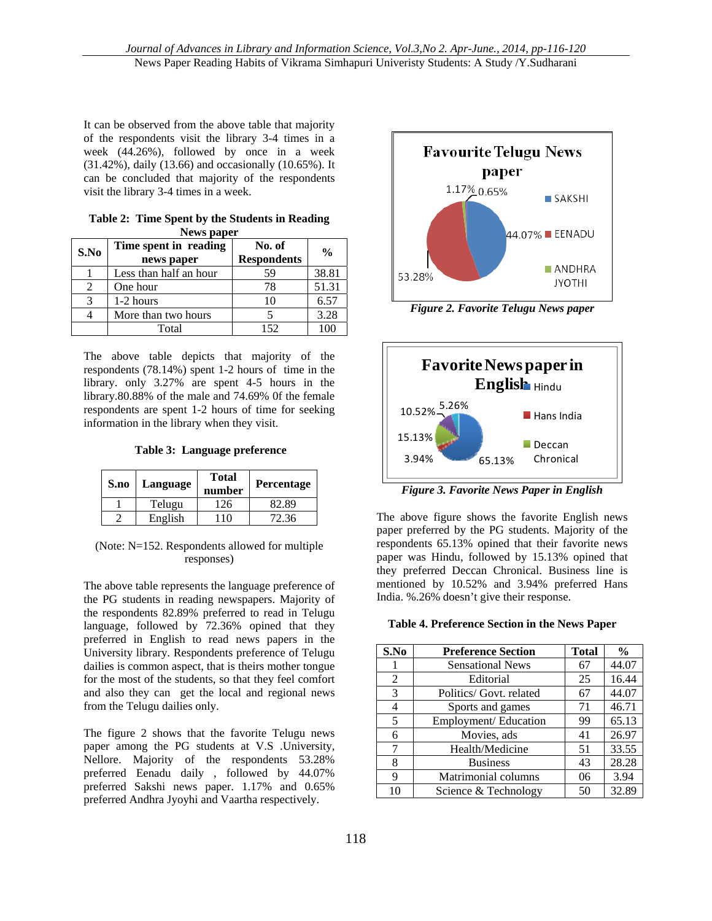It can be observed from the above table that majority of the respondents visit the library 3-4 times in a week (44.26%), followed by once in a week (31.42%), daily (13.66) and occasionally (10.65%). It can be concluded that majority of the respondents visit the library 3-4 times in a week.

| News paper                  |                                     |                              |               |  |
|-----------------------------|-------------------------------------|------------------------------|---------------|--|
| S.No                        | Time spent in reading<br>news paper | No. of<br><b>Respondents</b> | $\frac{0}{0}$ |  |
|                             | Less than half an hour              | 59                           | 38.81         |  |
| $\mathcal{D}_{\mathcal{L}}$ | One hour                            | 78                           | 51.31         |  |
| $\mathbf{\mathcal{R}}$      | 1-2 hours                           | 10                           | 6.57          |  |
|                             | More than two hours                 |                              | 3.28          |  |
|                             | Total                               | 152                          | 100           |  |

**Table 2: Time Spent by the Students in Reading News paper** 

The above table depicts that majority of the respondents (78.14%) spent 1-2 hours of time in the library. only 3.27% are spent 4-5 hours in the library.80.88% of the male and 74.69% 0f the female respondents are spent 1-2 hours of time for seeking information in the library when they visit.

 **Table 3: Language preference** 

| S.no | Language | <b>Total</b><br>number | <b>Percentage</b> |
|------|----------|------------------------|-------------------|
|      | Telugu   | 126                    | 82.89             |
|      | English  | 10                     | 72.36             |

(Note: N=152. Respondents allowed for multiple responses)

The above table represents the language preference of the PG students in reading newspapers. Majority of the respondents 82.89% preferred to read in Telugu language, followed by 72.36% opined that they preferred in English to read news papers in the University library. Respondents preference of Telugu dailies is common aspect, that is theirs mother tongue for the most of the students, so that they feel comfort and also they can get the local and regional news from the Telugu dailies only.

The figure 2 shows that the favorite Telugu news paper among the PG students at V.S .University, Nellore. Majority of the respondents 53.28% preferred Eenadu daily , followed by 44.07% preferred Sakshi news paper. 1.17% and 0.65% preferred Andhra Jyoyhi and Vaartha respectively.



*Figure 2. Favorite Telugu News paper*



*Figure 3. Favorite News Paper in English* 

The above figure shows the favorite English news paper preferred by the PG students. Majority of the respondents 65.13% opined that their favorite news paper was Hindu, followed by 15.13% opined that they preferred Deccan Chronical. Business line is mentioned by 10.52% and 3.94% preferred Hans India. %.26% doesn't give their response.

**Table 4. Preference Section in the News Paper** 

| S.No | <b>Preference Section</b> | <b>Total</b> | $\frac{0}{0}$ |
|------|---------------------------|--------------|---------------|
|      | <b>Sensational News</b>   | 67           | 44.07         |
| 2    | Editorial                 | 25           | 16.44         |
| 3    | Politics/ Govt. related   | 67           | 44.07         |
| 4    | Sports and games          | 71           | 46.71         |
| 5    | Employment/ Education     | 99           | 65.13         |
| 6    | Movies, ads               | 41           | 26.97         |
| 7    | Health/Medicine           | 51           | 33.55         |
| 8    | <b>Business</b>           | 43           | 28.28         |
| 9    | Matrimonial columns       | 06           | 3.94          |
| 10   | Science & Technology      | 50           | 32.89         |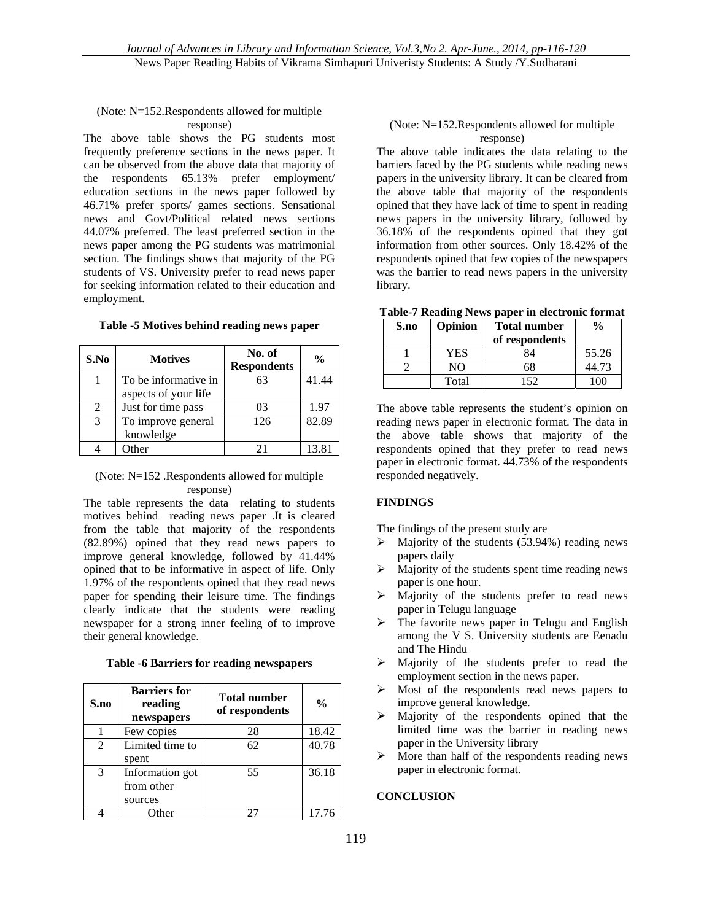#### (Note: N=152.Respondents allowed for multiple response)

The above table shows the PG students most frequently preference sections in the news paper. It can be observed from the above data that majority of the respondents 65.13% prefer employment/ education sections in the news paper followed by 46.71% prefer sports/ games sections. Sensational news and Govt/Political related news sections 44.07% preferred. The least preferred section in the news paper among the PG students was matrimonial section. The findings shows that majority of the PG students of VS. University prefer to read news paper for seeking information related to their education and employment.

# **Table -5 Motives behind reading news paper**

| S.No           | <b>Motives</b>       | No. of<br><b>Respondents</b> | $\frac{0}{0}$ |
|----------------|----------------------|------------------------------|---------------|
|                | To be informative in | 63                           | 41.44         |
|                | aspects of your life |                              |               |
| $\mathfrak{D}$ | Just for time pass   | 03                           | 1.97          |
| 3              | To improve general   | 126                          | 82.89         |
|                | knowledge            |                              |               |
|                | Other                | 21                           | 13.81         |

# (Note: N=152 .Respondents allowed for multiple response)

The table represents the data relating to students motives behind reading news paper .It is cleared from the table that majority of the respondents (82.89%) opined that they read news papers to improve general knowledge, followed by 41.44% opined that to be informative in aspect of life. Only 1.97% of the respondents opined that they read news paper for spending their leisure time. The findings clearly indicate that the students were reading newspaper for a strong inner feeling of to improve their general knowledge.

| S.no | <b>Barriers</b> for<br>reading<br>newspapers | <b>Total number</b><br>of respondents | $\frac{0}{0}$ |
|------|----------------------------------------------|---------------------------------------|---------------|
|      | Few copies                                   | 28                                    | 18.42         |
| 2    | Limited time to<br>spent                     | 62                                    | 40.78         |
| 3    | Information got<br>from other<br>sources     | 55                                    | 36.18         |
|      | Other                                        | 27                                    | 17.76         |

### (Note: N=152.Respondents allowed for multiple response)

The above table indicates the data relating to the barriers faced by the PG students while reading news papers in the university library. It can be cleared from the above table that majority of the respondents opined that they have lack of time to spent in reading news papers in the university library, followed by 36.18% of the respondents opined that they got information from other sources. Only 18.42% of the respondents opined that few copies of the newspapers was the barrier to read news papers in the university library.

**Table-7 Reading News paper in electronic format** 

| S.no | Opinion | <b>Total number</b><br>of respondents | $\frac{6}{9}$ |
|------|---------|---------------------------------------|---------------|
|      | YES     | 34                                    | 55.26         |
|      | NO      | 68                                    | 44.73         |
|      | Total   | 152                                   | ΩC            |

The above table represents the student's opinion on reading news paper in electronic format. The data in the above table shows that majority of the respondents opined that they prefer to read news paper in electronic format. 44.73% of the respondents responded negatively.

# **FINDINGS**

The findings of the present study are

- $\triangleright$  Majority of the students (53.94%) reading news papers daily
- $\triangleright$  Majority of the students spent time reading news paper is one hour.
- $\triangleright$  Majority of the students prefer to read news paper in Telugu language
- $\triangleright$  The favorite news paper in Telugu and English among the V S. University students are Eenadu and The Hindu
- Majority of the students prefer to read the employment section in the news paper.
- Most of the respondents read news papers to improve general knowledge.
- Majority of the respondents opined that the limited time was the barrier in reading news paper in the University library
- $\triangleright$  More than half of the respondents reading news paper in electronic format.

#### **CONCLUSION**